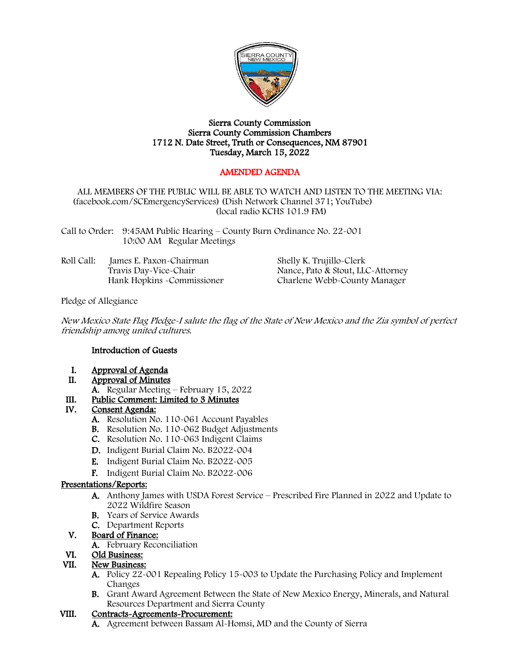

#### Sierra County Commission Sierra County Commission Chambers 1712 N. Date Street, Truth or Consequences, NM 87901 Tuesday, March 15, 2022

# AMENDED AGENDA

#### ALL MEMBERS OF THE PUBLIC WILL BE ABLE TO WATCH AND LISTEN TO THE MEETING VIA: (facebook.com/SCEmergencyServices) (Dish Network Channel 371; YouTube) (local radio KCHS 101.9 FM)

Call to Order: 9:45AM Public Hearing – County Burn Ordinance No. 22-001 10:00 AM Regular Meetings

| Roll Call: | James E. Paxon-Chairman     | Shelly K. Trujillo-Clerk          |
|------------|-----------------------------|-----------------------------------|
|            | Travis Day-Vice-Chair       | Nance, Pato & Stout, LLC-Attorney |
|            | Hank Hopkins - Commissioner | Charlene Webb~County Manager      |

Pledge of Allegiance

New Mexico State Flag Pledge-I salute the flag of the State of New Mexico and the Zia symbol of perfect friendship among united cultures.

### Introduction of Guests

- I. Approval of Agenda<br>II. Approval of Minutes
- Approval of Minutes
- A. Regular Meeting February 15, 2022

### III. Public Comment: Limited to 3 Minutes

### IV. Consent Agenda:

- A. Resolution No. 110-061 Account Payables
- B. Resolution No. 110-062 Budget Adjustments
- C. Resolution No. 110-063 Indigent Claims
- D. Indigent Burial Claim No. B2022-004
- E. Indigent Burial Claim No. B2022-005
- F. Indigent Burial Claim No. B2022-006

### Presentations/Reports:

- A. Anthony James with USDA Forest Service Prescribed Fire Planned in 2022 and Update to 2022 Wildfire Season
- B. Years of Service Awards
- C. Department Reports

## V. Board of Finance:

A. February Reconciliation

## VI. Old Business:

# VII. New Business:

- A. Policy 22-001 Repealing Policy 15-003 to Update the Purchasing Policy and Implement Changes
- B. Grant Award Agreement Between the State of New Mexico Energy, Minerals, and Natural Resources Department and Sierra County

### VIII. Contracts-Agreements-Procurement:

A. Agreement between Bassam Al-Homsi, MD and the County of Sierra